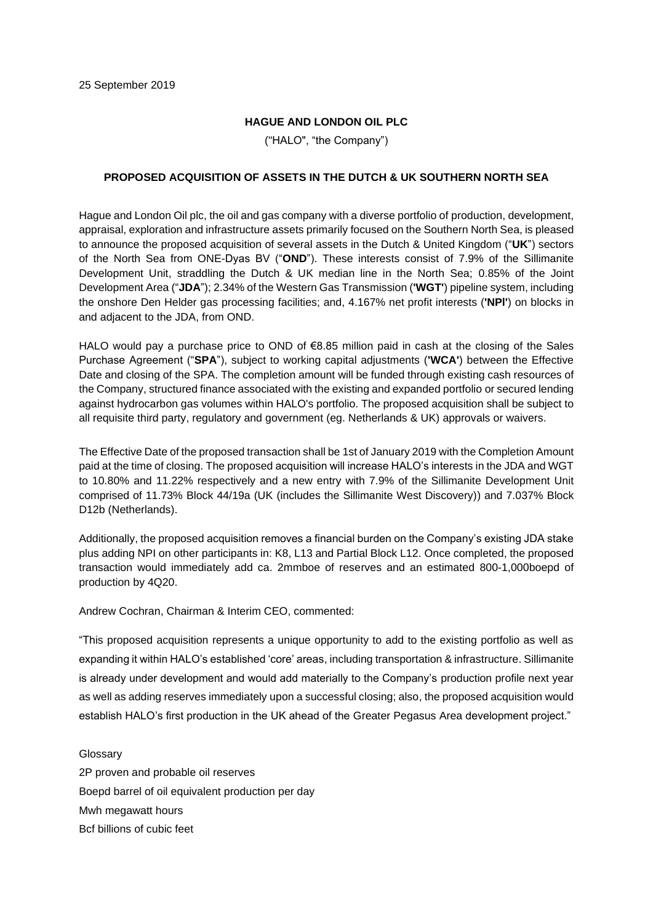## **HAGUE AND LONDON OIL PLC**

("HALO", "the Company")

## **PROPOSED ACQUISITION OF ASSETS IN THE DUTCH & UK SOUTHERN NORTH SEA**

Hague and London Oil plc, the oil and gas company with a diverse portfolio of production, development, appraisal, exploration and infrastructure assets primarily focused on the Southern North Sea, is pleased to announce the proposed acquisition of several assets in the Dutch & United Kingdom ("**UK**") sectors of the North Sea from ONE-Dyas BV ("**OND**"). These interests consist of 7.9% of the Sillimanite Development Unit, straddling the Dutch & UK median line in the North Sea; 0.85% of the Joint Development Area ("**JDA**"); 2.34% of the Western Gas Transmission (**'WGT'**) pipeline system, including the onshore Den Helder gas processing facilities; and, 4.167% net profit interests (**'NPl'**) on blocks in and adjacent to the JDA, from OND.

HALO would pay a purchase price to OND of €8.85 million paid in cash at the closing of the Sales Purchase Agreement ("**SPA**"), subject to working capital adjustments (**'WCA'**) between the Effective Date and closing of the SPA. The completion amount will be funded through existing cash resources of the Company, structured finance associated with the existing and expanded portfolio or secured lending against hydrocarbon gas volumes within HALO's portfolio. The proposed acquisition shall be subject to all requisite third party, regulatory and government (eg. Netherlands & UK) approvals or waivers.

The Effective Date of the proposed transaction shall be 1st of January 2019 with the Completion Amount paid at the time of closing. The proposed acquisition will increase HALO's interests in the JDA and WGT to 10.80% and 11.22% respectively and a new entry with 7.9% of the Sillimanite Development Unit comprised of 11.73% Block 44/19a (UK (includes the Sillimanite West Discovery)) and 7.037% Block D12b (Netherlands).

Additionally, the proposed acquisition removes a financial burden on the Company's existing JDA stake plus adding NPI on other participants in: K8, L13 and Partial Block L12. Once completed, the proposed transaction would immediately add ca. 2mmboe of reserves and an estimated 800-1,000boepd of production by 4Q20.

Andrew Cochran, Chairman & Interim CEO, commented:

"This proposed acquisition represents a unique opportunity to add to the existing portfolio as well as expanding it within HALO's established 'core' areas, including transportation & infrastructure. Sillimanite is already under development and would add materially to the Company's production profile next year as well as adding reserves immediately upon a successful closing; also, the proposed acquisition would establish HALO's first production in the UK ahead of the Greater Pegasus Area development project."

Glossary 2P proven and probable oil reserves Boepd barrel of oil equivalent production per day Mwh megawatt hours Bcf billions of cubic feet